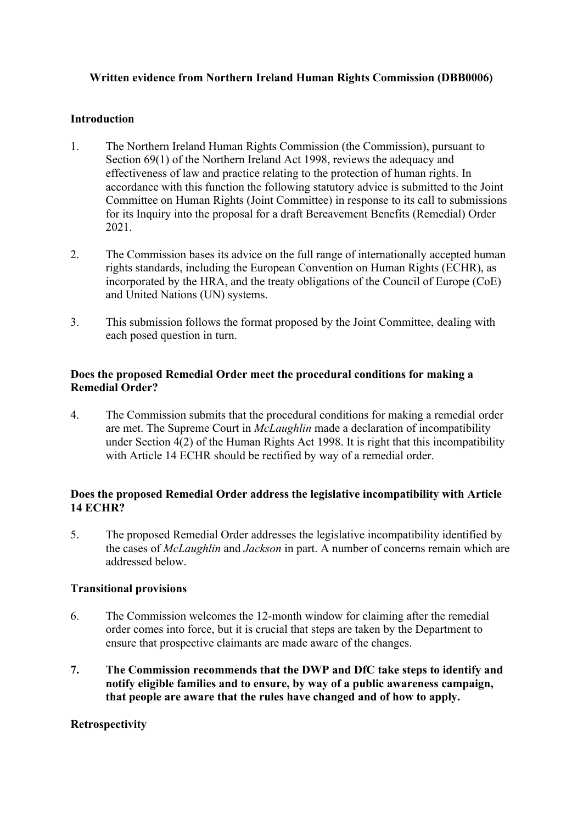## **Written evidence from Northern Ireland Human Rights Commission (DBB0006)**

#### **Introduction**

- 1. The Northern Ireland Human Rights Commission (the Commission), pursuant to Section 69(1) of the Northern Ireland Act 1998, reviews the adequacy and effectiveness of law and practice relating to the protection of human rights. In accordance with this function the following statutory advice is submitted to the Joint Committee on Human Rights (Joint Committee) in response to its call to submissions for its Inquiry into the proposal for a draft Bereavement Benefits (Remedial) Order 2021.
- 2. The Commission bases its advice on the full range of internationally accepted human rights standards, including the European Convention on Human Rights (ECHR), as incorporated by the HRA, and the treaty obligations of the Council of Europe (CoE) and United Nations (UN) systems.
- 3. This submission follows the format proposed by the Joint Committee, dealing with each posed question in turn.

#### **Does the proposed Remedial Order meet the procedural conditions for making a Remedial Order?**

4. The Commission submits that the procedural conditions for making a remedial order are met. The Supreme Court in *McLaughlin* made a declaration of incompatibility under Section 4(2) of the Human Rights Act 1998. It is right that this incompatibility with Article 14 ECHR should be rectified by way of a remedial order.

## **Does the proposed Remedial Order address the legislative incompatibility with Article 14 ECHR?**

5. The proposed Remedial Order addresses the legislative incompatibility identified by the cases of *McLaughlin* and *Jackson* in part. A number of concerns remain which are addressed below.

#### **Transitional provisions**

- 6. The Commission welcomes the 12-month window for claiming after the remedial order comes into force, but it is crucial that steps are taken by the Department to ensure that prospective claimants are made aware of the changes.
- **7. The Commission recommends that the DWP and DfC take steps to identify and notify eligible families and to ensure, by way of a public awareness campaign, that people are aware that the rules have changed and of how to apply.**

#### **Retrospectivity**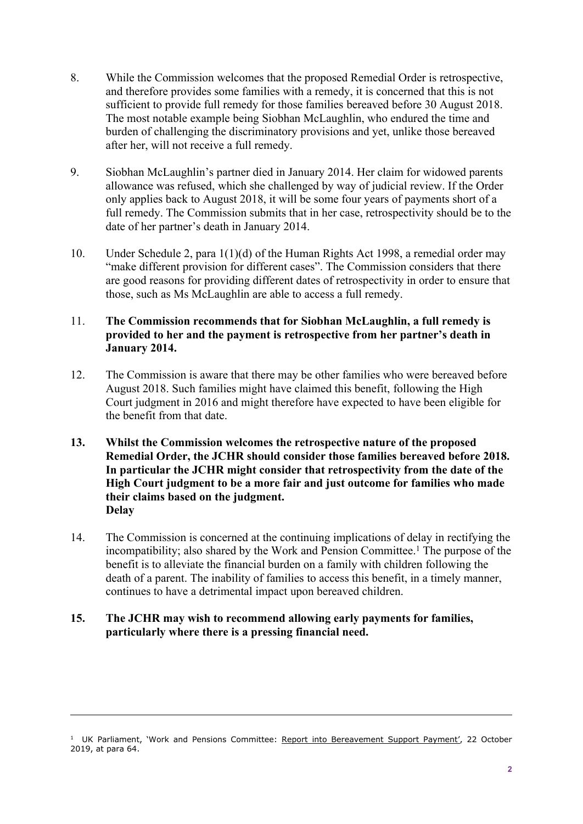- 8. While the Commission welcomes that the proposed Remedial Order is retrospective, and therefore provides some families with a remedy, it is concerned that this is not sufficient to provide full remedy for those families bereaved before 30 August 2018. The most notable example being Siobhan McLaughlin, who endured the time and burden of challenging the discriminatory provisions and yet, unlike those bereaved after her, will not receive a full remedy.
- 9. Siobhan McLaughlin's partner died in January 2014. Her claim for widowed parents allowance was refused, which she challenged by way of judicial review. If the Order only applies back to August 2018, it will be some four years of payments short of a full remedy. The Commission submits that in her case, retrospectivity should be to the date of her partner's death in January 2014.
- 10. Under Schedule 2, para 1(1)(d) of the Human Rights Act 1998, a remedial order may "make different provision for different cases". The Commission considers that there are good reasons for providing different dates of retrospectivity in order to ensure that those, such as Ms McLaughlin are able to access a full remedy.

## 11. **The Commission recommends that for Siobhan McLaughlin, a full remedy is provided to her and the payment is retrospective from her partner's death in January 2014.**

- 12. The Commission is aware that there may be other families who were bereaved before August 2018. Such families might have claimed this benefit, following the High Court judgment in 2016 and might therefore have expected to have been eligible for the benefit from that date.
- **13. Whilst the Commission welcomes the retrospective nature of the proposed Remedial Order, the JCHR should consider those families bereaved before 2018. In particular the JCHR might consider that retrospectivity from the date of the High Court judgment to be a more fair and just outcome for families who made their claims based on the judgment. Delay**
- 14. The Commission is concerned at the continuing implications of delay in rectifying the incompatibility; also shared by the Work and Pension Committee.<sup>1</sup> The purpose of the benefit is to alleviate the financial burden on a family with children following the death of a parent. The inability of families to access this benefit, in a timely manner, continues to have a detrimental impact upon bereaved children.

# **15. The JCHR may wish to recommend allowing early payments for families, particularly where there is a pressing financial need.**

<sup>&</sup>lt;sup>1</sup> UK Parliament, 'Work and Pensions Committee: [Report](https://publications.parliament.uk/pa/cm201919/cmselect/cmworpen/85/8502.htm) [into](https://publications.parliament.uk/pa/cm201919/cmselect/cmworpen/85/8502.htm) [Bereavement](https://publications.parliament.uk/pa/cm201919/cmselect/cmworpen/85/8502.htm) [Support](https://publications.parliament.uk/pa/cm201919/cmselect/cmworpen/85/8502.htm) [Payment',](https://publications.parliament.uk/pa/cm201919/cmselect/cmworpen/85/8502.htm) 22 October 2019, at para 64.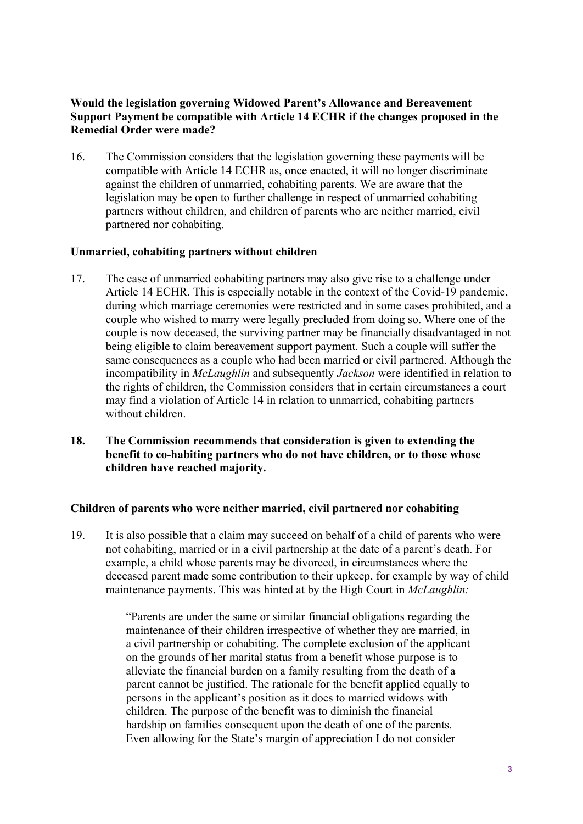## **Would the legislation governing Widowed Parent's Allowance and Bereavement Support Payment be compatible with Article 14 ECHR if the changes proposed in the Remedial Order were made?**

16. The Commission considers that the legislation governing these payments will be compatible with Article 14 ECHR as, once enacted, it will no longer discriminate against the children of unmarried, cohabiting parents. We are aware that the legislation may be open to further challenge in respect of unmarried cohabiting partners without children, and children of parents who are neither married, civil partnered nor cohabiting.

#### **Unmarried, cohabiting partners without children**

- 17. The case of unmarried cohabiting partners may also give rise to a challenge under Article 14 ECHR. This is especially notable in the context of the Covid-19 pandemic, during which marriage ceremonies were restricted and in some cases prohibited, and a couple who wished to marry were legally precluded from doing so. Where one of the couple is now deceased, the surviving partner may be financially disadvantaged in not being eligible to claim bereavement support payment. Such a couple will suffer the same consequences as a couple who had been married or civil partnered. Although the incompatibility in *McLaughlin* and subsequently *Jackson* were identified in relation to the rights of children, the Commission considers that in certain circumstances a court may find a violation of Article 14 in relation to unmarried, cohabiting partners without children.
- **18. The Commission recommends that consideration is given to extending the benefit to co-habiting partners who do not have children, or to those whose children have reached majority.**

## **Children of parents who were neither married, civil partnered nor cohabiting**

19. It is also possible that a claim may succeed on behalf of a child of parents who were not cohabiting, married or in a civil partnership at the date of a parent's death. For example, a child whose parents may be divorced, in circumstances where the deceased parent made some contribution to their upkeep, for example by way of child maintenance payments. This was hinted at by the High Court in *McLaughlin:*

> "Parents are under the same or similar financial obligations regarding the maintenance of their children irrespective of whether they are married, in a civil partnership or cohabiting. The complete exclusion of the applicant on the grounds of her marital status from a benefit whose purpose is to alleviate the financial burden on a family resulting from the death of a parent cannot be justified. The rationale for the benefit applied equally to persons in the applicant's position as it does to married widows with children. The purpose of the benefit was to diminish the financial hardship on families consequent upon the death of one of the parents. Even allowing for the State's margin of appreciation I do not consider